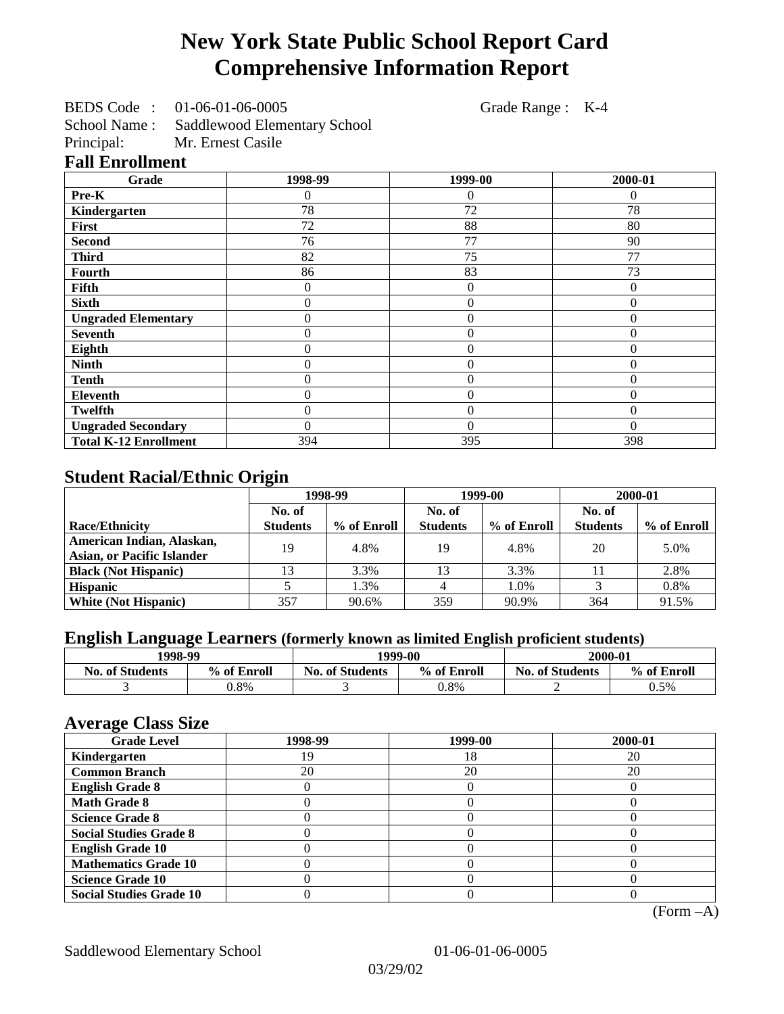# **New York State Public School Report Card Comprehensive Information Report**

BEDS Code : 01-06-01-06-0005 Grade Range : K-4

School Name : Saddlewood Elementary School<br>Principal: Mr. Ernest Casile

Mr. Ernest Casile

## **Fall Enrollment**

| Grade                        | 1998-99        | 1999-00          | 2000-01  |
|------------------------------|----------------|------------------|----------|
| Pre-K                        | 0              | 0                | 0        |
| Kindergarten                 | 78             | 72               | 78       |
| First                        | 72             | 88               | 80       |
| <b>Second</b>                | 76             | 77               | 90       |
| <b>Third</b>                 | 82             | 75               | 77       |
| Fourth                       | 86             | 83               | 73       |
| Fifth                        | 0              | $\theta$         | $\Omega$ |
| <b>Sixth</b>                 | 0              | $\theta$         | $\theta$ |
| <b>Ungraded Elementary</b>   | 0              | $\boldsymbol{0}$ | $\theta$ |
| <b>Seventh</b>               | 0              | $\theta$         | $\theta$ |
| Eighth                       | $\overline{0}$ | $\theta$         | $\Omega$ |
| <b>Ninth</b>                 | 0              | $\overline{0}$   | $\theta$ |
| <b>Tenth</b>                 | 0              | $\overline{0}$   | $\theta$ |
| Eleventh                     | 0              | $\overline{0}$   | $\theta$ |
| <b>Twelfth</b>               | 0              | $\overline{0}$   | $\theta$ |
| <b>Ungraded Secondary</b>    | 0              | $\theta$         | $\Omega$ |
| <b>Total K-12 Enrollment</b> | 394            | 395              | 398      |

# **Student Racial/Ethnic Origin**

|                                   | 1998-99         |             | 1999-00         |             | 2000-01         |             |
|-----------------------------------|-----------------|-------------|-----------------|-------------|-----------------|-------------|
|                                   | No. of          |             | No. of          |             | No. of          |             |
| <b>Race/Ethnicity</b>             | <b>Students</b> | % of Enroll | <b>Students</b> | % of Enroll | <b>Students</b> | % of Enroll |
| American Indian, Alaskan,         | 19              | 4.8%        | 19              | 4.8%        | 20              | 5.0%        |
| <b>Asian, or Pacific Islander</b> |                 |             |                 |             |                 |             |
| <b>Black (Not Hispanic)</b>       |                 | 3.3%        | 13              | 3.3%        |                 | 2.8%        |
| <b>Hispanic</b>                   |                 | 1.3%        |                 | 1.0%        |                 | 0.8%        |
| <b>White (Not Hispanic)</b>       | 357             | 90.6%       | 359             | 90.9%       | 364             | 91.5%       |

# **English Language Learners (formerly known as limited English proficient students)**

| 1998-99                |             | 1999-00                |             | 2000-01                |             |
|------------------------|-------------|------------------------|-------------|------------------------|-------------|
| <b>No. of Students</b> | % of Enroll | <b>No. of Students</b> | % of Enroll | <b>No. of Students</b> | % of Enroll |
|                        | $0.8\%$     |                        | 0.8%        |                        | 0.5%        |

#### **Average Class Size**

| $-7$<br><b>Grade Level</b>     | 1998-99 | 1999-00 | 2000-01 |
|--------------------------------|---------|---------|---------|
| Kindergarten                   | ۱9      | 18      | 20      |
| <b>Common Branch</b>           | 20      | 20      | 20      |
| <b>English Grade 8</b>         |         |         |         |
| <b>Math Grade 8</b>            |         |         |         |
| <b>Science Grade 8</b>         |         |         |         |
| <b>Social Studies Grade 8</b>  |         |         |         |
| <b>English Grade 10</b>        |         |         |         |
| <b>Mathematics Grade 10</b>    |         |         |         |
| <b>Science Grade 10</b>        |         |         |         |
| <b>Social Studies Grade 10</b> |         |         |         |

(Form –A)